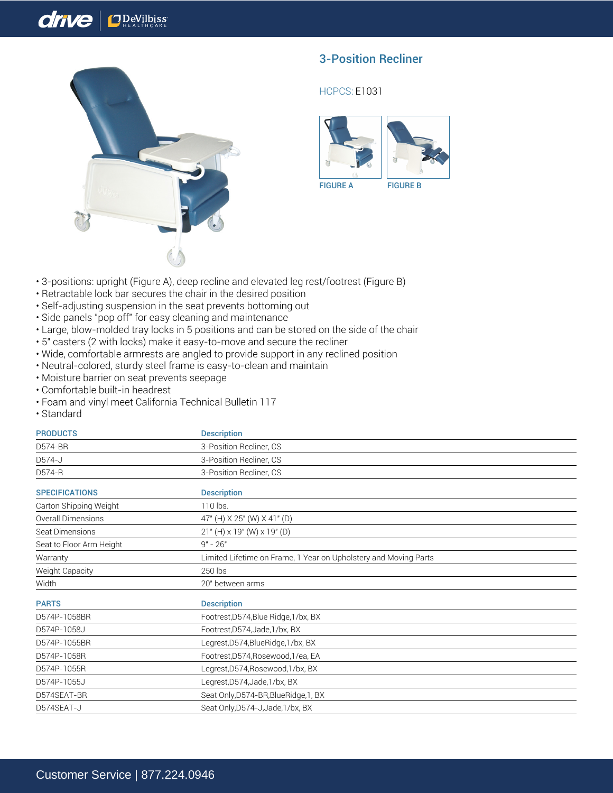## drive ODeVilbiss



## 3-Position Recliner

## HCPCS: E1031



- 3-positions: upright (Figure A), deep recline and elevated leg rest/footrest (Figure B)
- Retractable lock bar secures the chair in the desired position
- Self-adjusting suspension in the seat prevents bottoming out
- Side panels "pop off" for easy cleaning and maintenance
- Large, blow-molded tray locks in 5 positions and can be stored on the side of the chair
- 5" casters (2 with locks) make it easy-to-move and secure the recliner
- Wide, comfortable armrests are angled to provide support in any reclined position
- Neutral-colored, sturdy steel frame is easy-to-clean and maintain
- Moisture barrier on seat prevents seepage
- Comfortable built-in headrest
- Foam and vinyl meet California Technical Bulletin 117
- Standard

| <b>PRODUCTS</b>          | <b>Description</b>                                               |
|--------------------------|------------------------------------------------------------------|
| D574-BR                  | 3-Position Recliner, CS                                          |
| D574-J                   | 3-Position Recliner, CS                                          |
| D574-R                   | 3-Position Recliner, CS                                          |
| <b>SPECIFICATIONS</b>    | <b>Description</b>                                               |
| Carton Shipping Weight   | 110 lbs.                                                         |
| Overall Dimensions       | 47" (H) X 25" (W) X 41" (D)                                      |
| Seat Dimensions          | $21"$ (H) x 19" (W) x 19" (D)                                    |
| Seat to Floor Arm Height | $9" - 26"$                                                       |
| Warranty                 | Limited Lifetime on Frame, 1 Year on Upholstery and Moving Parts |
| Weight Capacity          | 250 lbs                                                          |
| Width                    | 20" between arms                                                 |
| <b>PARTS</b>             | <b>Description</b>                                               |
| D574P-1058BR             | Footrest, D574, Blue Ridge, 1/bx, BX                             |
| D574P-1058J              | Footrest, D574, Jade, 1/bx, BX                                   |
| D574P-1055BR             | Legrest, D574, Blue Ridge, 1/bx, BX                              |
| D574P-1058R              | Footrest, D574, Rosewood, 1/ea, EA                               |
| D574P-1055R              | Legrest, D574, Rosewood, 1/bx, BX                                |
| D574P-1055J              | Legrest, D574, Jade, 1/bx, BX                                    |
| D574SEAT-BR              | Seat Only, D574-BR, BlueRidge, 1, BX                             |
|                          |                                                                  |

D574SEAT-J Seat Only, D574-J, Jade, 1/bx, BX